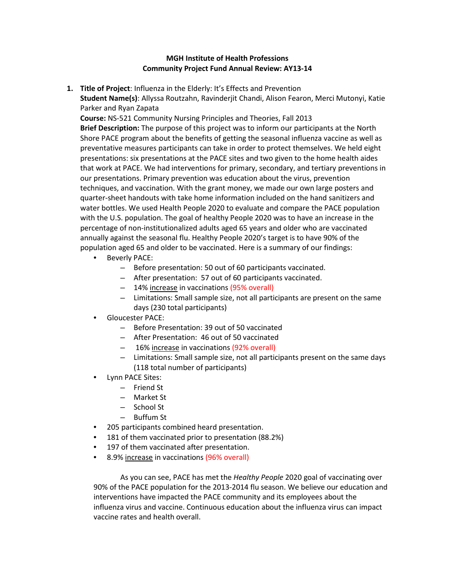# **MGH Institute of Health Professions Community Project Fund Annual Review: AY13-14**

**1. Title of Project**: Influenza in the Elderly: It's Effects and Prevention **Student Name(s)**: Allyssa Routzahn, Ravinderjit Chandi, Alison Fearon, Merci Mutonyi, Katie

Parker and Ryan Zapata **Course:** NS-521 Community Nursing Principles and Theories, Fall 2013 **Brief Description:** The purpose of this project was to inform our participants at the North Shore PACE program about the benefits of getting the seasonal influenza vaccine as well as preventative measures participants can take in order to protect themselves. We held eight presentations: six presentations at the PACE sites and two given to the home health aides that work at PACE. We had interventions for primary, secondary, and tertiary preventions in our presentations. Primary prevention was education about the virus, prevention techniques, and vaccination. With the grant money, we made our own large posters and quarter-sheet handouts with take home information included on the hand sanitizers and water bottles. We used Health People 2020 to evaluate and compare the PACE population with the U.S. population. The goal of healthy People 2020 was to have an increase in the percentage of non-institutionalized adults aged 65 years and older who are vaccinated annually against the seasonal flu. Healthy People 2020's target is to have 90% of the

- population aged 65 and older to be vaccinated. Here is a summary of our findings: Beverly PACE:
	- Before presentation: 50 out of 60 participants vaccinated.
	- After presentation: 57 out of 60 participants vaccinated.
	- 14% increase in vaccinations (95% overall)
	- Limitations: Small sample size, not all participants are present on the same days (230 total participants)
	- Gloucester PACE:
		- Before Presentation: 39 out of 50 vaccinated
		- After Presentation: 46 out of 50 vaccinated
		- 16% increase in vaccinations (92% overall)
		- Limitations: Small sample size, not all participants present on the same days (118 total number of participants)
	- Lynn PACE Sites:
		- Friend St
		- Market St
		- School St
		- Buffum St
	- 205 participants combined heard presentation.
	- 181 of them vaccinated prior to presentation (88.2%)
	- 197 of them vaccinated after presentation.
	- 8.9% increase in vaccinations (96% overall)

As you can see, PACE has met the *Healthy People* 2020 goal of vaccinating over 90% of the PACE population for the 2013-2014 flu season. We believe our education and interventions have impacted the PACE community and its employees about the influenza virus and vaccine. Continuous education about the influenza virus can impact vaccine rates and health overall.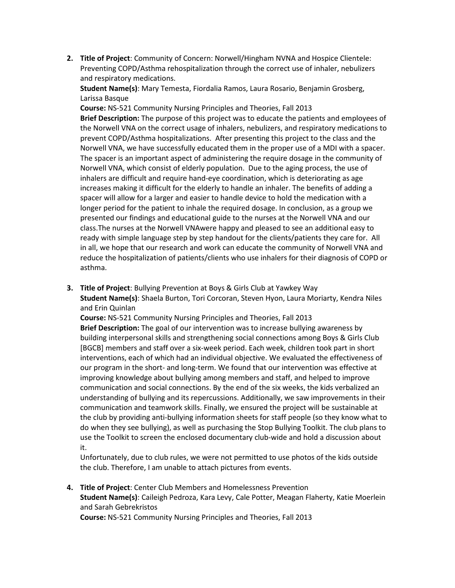**2. Title of Project**: Community of Concern: Norwell/Hingham NVNA and Hospice Clientele: Preventing COPD/Asthma rehospitalization through the correct use of inhaler, nebulizers and respiratory medications.

**Student Name(s)**: Mary Temesta, Fiordalia Ramos, Laura Rosario, Benjamin Grosberg, Larissa Basque

**Course:** NS-521 Community Nursing Principles and Theories, Fall 2013 **Brief Description:** The purpose of this project was to educate the patients and employees of the Norwell VNA on the correct usage of inhalers, nebulizers, and respiratory medications to prevent COPD/Asthma hospitalizations. After presenting this project to the class and the Norwell VNA, we have successfully educated them in the proper use of a MDI with a spacer. The spacer is an important aspect of administering the require dosage in the community of Norwell VNA, which consist of elderly population. Due to the aging process, the use of inhalers are difficult and require hand-eye coordination, which is deteriorating as age increases making it difficult for the elderly to handle an inhaler. The benefits of adding a spacer will allow for a larger and easier to handle device to hold the medication with a longer period for the patient to inhale the required dosage. In conclusion, as a group we presented our findings and educational guide to the nurses at the Norwell VNA and our class.The nurses at the Norwell VNAwere happy and pleased to see an additional easy to ready with simple language step by step handout for the clients/patients they care for. All in all, we hope that our research and work can educate the community of Norwell VNA and reduce the hospitalization of patients/clients who use inhalers for their diagnosis of COPD or asthma.

**3. Title of Project**: Bullying Prevention at Boys & Girls Club at Yawkey Way

**Student Name(s)**: Shaela Burton, Tori Corcoran, Steven Hyon, Laura Moriarty, Kendra Niles and Erin Quinlan

**Course:** NS-521 Community Nursing Principles and Theories, Fall 2013 **Brief Description:** The goal of our intervention was to increase bullying awareness by building interpersonal skills and strengthening social connections among Boys & Girls Club [BGCB] members and staff over a six-week period. Each week, children took part in short interventions, each of which had an individual objective. We evaluated the effectiveness of our program in the short- and long-term. We found that our intervention was effective at improving knowledge about bullying among members and staff, and helped to improve communication and social connections. By the end of the six weeks, the kids verbalized an understanding of bullying and its repercussions. Additionally, we saw improvements in their communication and teamwork skills. Finally, we ensured the project will be sustainable at the club by providing anti-bullying information sheets for staff people (so they know what to do when they see bullying), as well as purchasing the Stop Bullying Toolkit. The club plans to use the Toolkit to screen the enclosed documentary club-wide and hold a discussion about it.

Unfortunately, due to club rules, we were not permitted to use photos of the kids outside the club. Therefore, I am unable to attach pictures from events.

**4. Title of Project**: Center Club Members and Homelessness Prevention **Student Name(s)**: Caileigh Pedroza, Kara Levy, Cale Potter, Meagan Flaherty, Katie Moerlein and Sarah Gebrekristos

**Course:** NS-521 Community Nursing Principles and Theories, Fall 2013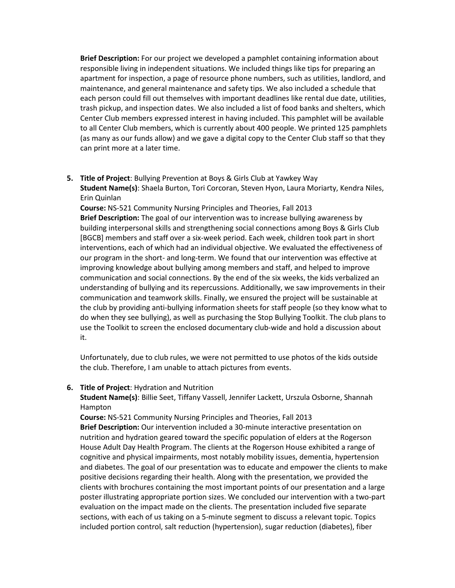**Brief Description:** For our project we developed a pamphlet containing information about responsible living in independent situations. We included things like tips for preparing an apartment for inspection, a page of resource phone numbers, such as utilities, landlord, and maintenance, and general maintenance and safety tips. We also included a schedule that each person could fill out themselves with important deadlines like rental due date, utilities, trash pickup, and inspection dates. We also included a list of food banks and shelters, which Center Club members expressed interest in having included. This pamphlet will be available to all Center Club members, which is currently about 400 people. We printed 125 pamphlets (as many as our funds allow) and we gave a digital copy to the Center Club staff so that they can print more at a later time.

**5. Title of Project**: Bullying Prevention at Boys & Girls Club at Yawkey Way **Student Name(s)**: Shaela Burton, Tori Corcoran, Steven Hyon, Laura Moriarty, Kendra Niles, Erin Quinlan

**Course:** NS-521 Community Nursing Principles and Theories, Fall 2013 **Brief Description:** The goal of our intervention was to increase bullying awareness by building interpersonal skills and strengthening social connections among Boys & Girls Club [BGCB] members and staff over a six-week period. Each week, children took part in short interventions, each of which had an individual objective. We evaluated the effectiveness of our program in the short- and long-term. We found that our intervention was effective at improving knowledge about bullying among members and staff, and helped to improve communication and social connections. By the end of the six weeks, the kids verbalized an understanding of bullying and its repercussions. Additionally, we saw improvements in their communication and teamwork skills. Finally, we ensured the project will be sustainable at the club by providing anti-bullying information sheets for staff people (so they know what to do when they see bullying), as well as purchasing the Stop Bullying Toolkit. The club plans to use the Toolkit to screen the enclosed documentary club-wide and hold a discussion about it.

Unfortunately, due to club rules, we were not permitted to use photos of the kids outside the club. Therefore, I am unable to attach pictures from events.

#### **6. Title of Project**: Hydration and Nutrition

**Student Name(s)**: Billie Seet, Tiffany Vassell, Jennifer Lackett, Urszula Osborne, Shannah Hampton

**Course:** NS-521 Community Nursing Principles and Theories, Fall 2013 **Brief Description:** Our intervention included a 30-minute interactive presentation on nutrition and hydration geared toward the specific population of elders at the Rogerson House Adult Day Health Program. The clients at the Rogerson House exhibited a range of cognitive and physical impairments, most notably mobility issues, dementia, hypertension and diabetes. The goal of our presentation was to educate and empower the clients to make positive decisions regarding their health. Along with the presentation, we provided the clients with brochures containing the most important points of our presentation and a large poster illustrating appropriate portion sizes. We concluded our intervention with a two-part evaluation on the impact made on the clients. The presentation included five separate sections, with each of us taking on a 5-minute segment to discuss a relevant topic. Topics included portion control, salt reduction (hypertension), sugar reduction (diabetes), fiber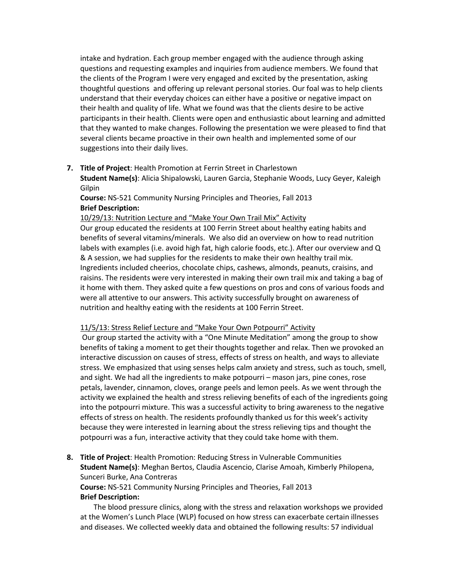intake and hydration. Each group member engaged with the audience through asking questions and requesting examples and inquiries from audience members. We found that the clients of the Program I were very engaged and excited by the presentation, asking thoughtful questions and offering up relevant personal stories. Our foal was to help clients understand that their everyday choices can either have a positive or negative impact on their health and quality of life. What we found was that the clients desire to be active participants in their health. Clients were open and enthusiastic about learning and admitted that they wanted to make changes. Following the presentation we were pleased to find that several clients became proactive in their own health and implemented some of our suggestions into their daily lives.

### **7. Title of Project**: Health Promotion at Ferrin Street in Charlestown

**Student Name(s)**: Alicia Shipalowski, Lauren Garcia, Stephanie Woods, Lucy Geyer, Kaleigh Gilpin

**Course:** NS-521 Community Nursing Principles and Theories, Fall 2013 **Brief Description:** 

10/29/13: Nutrition Lecture and "Make Your Own Trail Mix" Activity

Our group educated the residents at 100 Ferrin Street about healthy eating habits and benefits of several vitamins/minerals. We also did an overview on how to read nutrition labels with examples (i.e. avoid high fat, high calorie foods, etc.). After our overview and Q & A session, we had supplies for the residents to make their own healthy trail mix. Ingredients included cheerios, chocolate chips, cashews, almonds, peanuts, craisins, and raisins. The residents were very interested in making their own trail mix and taking a bag of it home with them. They asked quite a few questions on pros and cons of various foods and were all attentive to our answers. This activity successfully brought on awareness of nutrition and healthy eating with the residents at 100 Ferrin Street.

# 11/5/13: Stress Relief Lecture and "Make Your Own Potpourri" Activity

Our group started the activity with a "One Minute Meditation" among the group to show benefits of taking a moment to get their thoughts together and relax. Then we provoked an interactive discussion on causes of stress, effects of stress on health, and ways to alleviate stress. We emphasized that using senses helps calm anxiety and stress, such as touch, smell, and sight. We had all the ingredients to make potpourri – mason jars, pine cones, rose petals, lavender, cinnamon, cloves, orange peels and lemon peels. As we went through the activity we explained the health and stress relieving benefits of each of the ingredients going into the potpourri mixture. This was a successful activity to bring awareness to the negative effects of stress on health. The residents profoundly thanked us for this week's activity because they were interested in learning about the stress relieving tips and thought the potpourri was a fun, interactive activity that they could take home with them.

**8. Title of Project**: Health Promotion: Reducing Stress in Vulnerable Communities **Student Name(s)**: Meghan Bertos, Claudia Ascencio, Clarise Amoah, Kimberly Philopena, Sunceri Burke, Ana Contreras

**Course:** NS-521 Community Nursing Principles and Theories, Fall 2013 **Brief Description:** 

The blood pressure clinics, along with the stress and relaxation workshops we provided at the Women's Lunch Place (WLP) focused on how stress can exacerbate certain illnesses and diseases. We collected weekly data and obtained the following results: 57 individual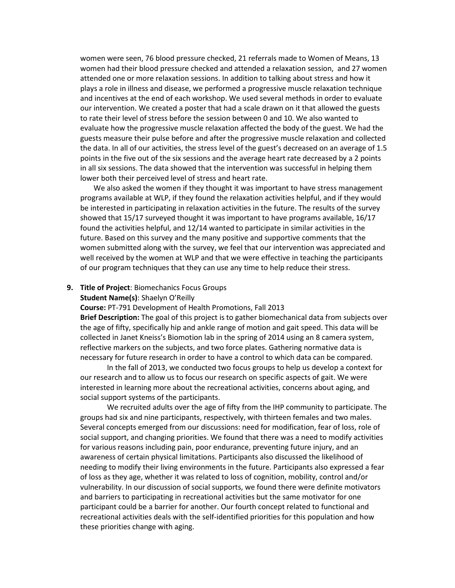women were seen, 76 blood pressure checked, 21 referrals made to Women of Means, 13 women had their blood pressure checked and attended a relaxation session, and 27 women attended one or more relaxation sessions. In addition to talking about stress and how it plays a role in illness and disease, we performed a progressive muscle relaxation technique and incentives at the end of each workshop. We used several methods in order to evaluate our intervention. We created a poster that had a scale drawn on it that allowed the guests to rate their level of stress before the session between 0 and 10. We also wanted to evaluate how the progressive muscle relaxation affected the body of the guest. We had the guests measure their pulse before and after the progressive muscle relaxation and collected the data. In all of our activities, the stress level of the guest's decreased on an average of 1.5 points in the five out of the six sessions and the average heart rate decreased by a 2 points in all six sessions. The data showed that the intervention was successful in helping them lower both their perceived level of stress and heart rate.

We also asked the women if they thought it was important to have stress management programs available at WLP, if they found the relaxation activities helpful, and if they would be interested in participating in relaxation activities in the future. The results of the survey showed that 15/17 surveyed thought it was important to have programs available, 16/17 found the activities helpful, and 12/14 wanted to participate in similar activities in the future. Based on this survey and the many positive and supportive comments that the women submitted along with the survey, we feel that our intervention was appreciated and well received by the women at WLP and that we were effective in teaching the participants of our program techniques that they can use any time to help reduce their stress.

#### **9. Title of Project**: Biomechanics Focus Groups

#### **Student Name(s)**: Shaelyn O'Reilly

**Course:** PT-791 Development of Health Promotions, Fall 2013

**Brief Description:** The goal of this project is to gather biomechanical data from subjects over the age of fifty, specifically hip and ankle range of motion and gait speed. This data will be collected in Janet Kneiss's Biomotion lab in the spring of 2014 using an 8 camera system, reflective markers on the subjects, and two force plates. Gathering normative data is necessary for future research in order to have a control to which data can be compared.

In the fall of 2013, we conducted two focus groups to help us develop a context for our research and to allow us to focus our research on specific aspects of gait. We were interested in learning more about the recreational activities, concerns about aging, and social support systems of the participants.

We recruited adults over the age of fifty from the IHP community to participate. The groups had six and nine participants, respectively, with thirteen females and two males. Several concepts emerged from our discussions: need for modification, fear of loss, role of social support, and changing priorities. We found that there was a need to modify activities for various reasons including pain, poor endurance, preventing future injury, and an awareness of certain physical limitations. Participants also discussed the likelihood of needing to modify their living environments in the future. Participants also expressed a fear of loss as they age, whether it was related to loss of cognition, mobility, control and/or vulnerability. In our discussion of social supports, we found there were definite motivators and barriers to participating in recreational activities but the same motivator for one participant could be a barrier for another. Our fourth concept related to functional and recreational activities deals with the self-identified priorities for this population and how these priorities change with aging.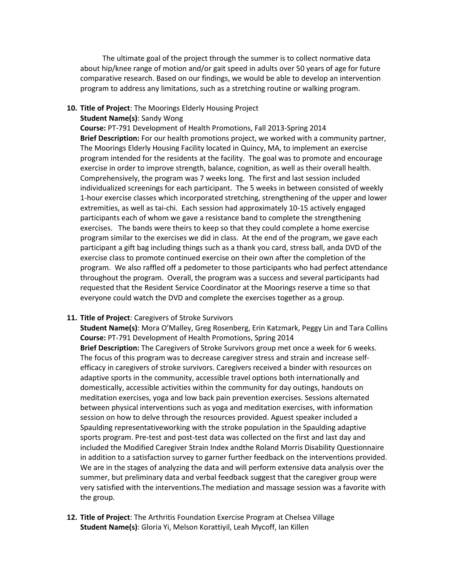The ultimate goal of the project through the summer is to collect normative data about hip/knee range of motion and/or gait speed in adults over 50 years of age for future comparative research. Based on our findings, we would be able to develop an intervention program to address any limitations, such as a stretching routine or walking program.

**10. Title of Project**: The Moorings Elderly Housing Project

**Student Name(s)**: Sandy Wong

**Course:** PT-791 Development of Health Promotions, Fall 2013-Spring 2014 **Brief Description:** For our health promotions project, we worked with a community partner, The Moorings Elderly Housing Facility located in Quincy, MA, to implement an exercise program intended for the residents at the facility. The goal was to promote and encourage exercise in order to improve strength, balance, cognition, as well as their overall health. Comprehensively, the program was 7 weeks long. The first and last session included individualized screenings for each participant. The 5 weeks in between consisted of weekly 1-hour exercise classes which incorporated stretching, strengthening of the upper and lower extremities, as well as tai-chi. Each session had approximately 10-15 actively engaged participants each of whom we gave a resistance band to complete the strengthening exercises. The bands were theirs to keep so that they could complete a home exercise program similar to the exercises we did in class. At the end of the program, we gave each participant a gift bag including things such as a thank you card, stress ball, anda DVD of the exercise class to promote continued exercise on their own after the completion of the program. We also raffled off a pedometer to those participants who had perfect attendance throughout the program. Overall, the program was a success and several participants had requested that the Resident Service Coordinator at the Moorings reserve a time so that everyone could watch the DVD and complete the exercises together as a group.

#### **11. Title of Project**: Caregivers of Stroke Survivors

**Student Name(s)**: Mora O'Malley, Greg Rosenberg, Erin Katzmark, Peggy Lin and Tara Collins **Course:** PT-791 Development of Health Promotions, Spring 2014 **Brief Description:** The Caregivers of Stroke Survivors group met once a week for 6 weeks. The focus of this program was to decrease caregiver stress and strain and increase selfefficacy in caregivers of stroke survivors. Caregivers received a binder with resources on adaptive sports in the community, accessible travel options both internationally and domestically, accessible activities within the community for day outings, handouts on meditation exercises, yoga and low back pain prevention exercises. Sessions alternated between physical interventions such as yoga and meditation exercises, with information session on how to delve through the resources provided. Aguest speaker included a Spaulding representativeworking with the stroke population in the Spaulding adaptive sports program. Pre-test and post-test data was collected on the first and last day and included the Modified Caregiver Strain Index andthe Roland Morris Disability Questionnaire in addition to a satisfaction survey to garner further feedback on the interventions provided. We are in the stages of analyzing the data and will perform extensive data analysis over the summer, but preliminary data and verbal feedback suggest that the caregiver group were very satisfied with the interventions.The mediation and massage session was a favorite with the group.

**12. Title of Project**: The Arthritis Foundation Exercise Program at Chelsea Village **Student Name(s)**: Gloria Yi, Melson Korattiyil, Leah Mycoff, Ian Killen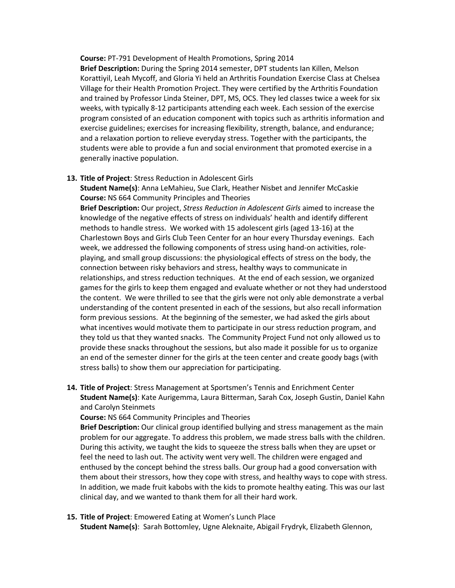#### **Course:** PT-791 Development of Health Promotions, Spring 2014

**Brief Description:** During the Spring 2014 semester, DPT students Ian Killen, Melson Korattiyil, Leah Mycoff, and Gloria Yi held an Arthritis Foundation Exercise Class at Chelsea Village for their Health Promotion Project. They were certified by the Arthritis Foundation and trained by Professor Linda Steiner, DPT, MS, OCS. They led classes twice a week for six weeks, with typically 8-12 participants attending each week. Each session of the exercise program consisted of an education component with topics such as arthritis information and exercise guidelines; exercises for increasing flexibility, strength, balance, and endurance; and a relaxation portion to relieve everyday stress. Together with the participants, the students were able to provide a fun and social environment that promoted exercise in a generally inactive population.

#### **13. Title of Project**: Stress Reduction in Adolescent Girls

**Student Name(s)**: Anna LeMahieu, Sue Clark, Heather Nisbet and Jennifer McCaskie **Course:** NS 664 Community Principles and Theories

**Brief Description:** Our project, *Stress Reduction in Adolescent Girls* aimed to increase the knowledge of the negative effects of stress on individuals' health and identify different methods to handle stress. We worked with 15 adolescent girls (aged 13-16) at the Charlestown Boys and Girls Club Teen Center for an hour every Thursday evenings. Each week, we addressed the following components of stress using hand-on activities, roleplaying, and small group discussions: the physiological effects of stress on the body, the connection between risky behaviors and stress, healthy ways to communicate in relationships, and stress reduction techniques. At the end of each session, we organized games for the girls to keep them engaged and evaluate whether or not they had understood the content. We were thrilled to see that the girls were not only able demonstrate a verbal understanding of the content presented in each of the sessions, but also recall information form previous sessions. At the beginning of the semester, we had asked the girls about what incentives would motivate them to participate in our stress reduction program, and they told us that they wanted snacks. The Community Project Fund not only allowed us to provide these snacks throughout the sessions, but also made it possible for us to organize an end of the semester dinner for the girls at the teen center and create goody bags (with stress balls) to show them our appreciation for participating.

**14. Title of Project**: Stress Management at Sportsmen's Tennis and Enrichment Center **Student Name(s)**: Kate Aurigemma, Laura Bitterman, Sarah Cox, Joseph Gustin, Daniel Kahn and Carolyn Steinmets

**Course:** NS 664 Community Principles and Theories

**Brief Description:** Our clinical group identified bullying and stress management as the main problem for our aggregate. To address this problem, we made stress balls with the children. During this activity, we taught the kids to squeeze the stress balls when they are upset or feel the need to lash out. The activity went very well. The children were engaged and enthused by the concept behind the stress balls. Our group had a good conversation with them about their stressors, how they cope with stress, and healthy ways to cope with stress. In addition, we made fruit kabobs with the kids to promote healthy eating. This was our last clinical day, and we wanted to thank them for all their hard work.

### **15. Title of Project**: Emowered Eating at Women's Lunch Place

**Student Name(s)**: Sarah Bottomley, Ugne Aleknaite, Abigail Frydryk, Elizabeth Glennon,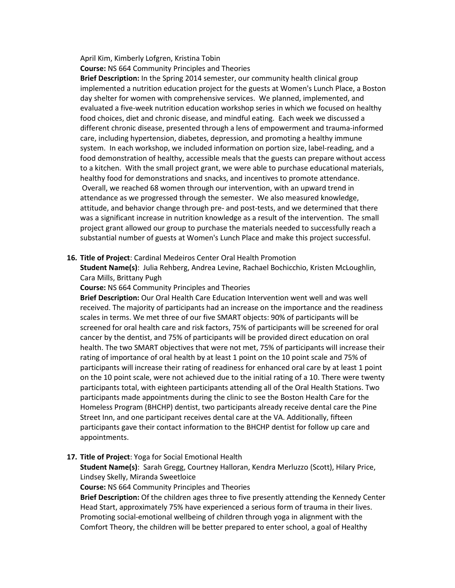April Kim, Kimberly Lofgren, Kristina Tobin **Course:** NS 664 Community Principles and Theories

**Brief Description:** In the Spring 2014 semester, our community health clinical group implemented a nutrition education project for the guests at Women's Lunch Place, a Boston day shelter for women with comprehensive services. We planned, implemented, and evaluated a five-week nutrition education workshop series in which we focused on healthy food choices, diet and chronic disease, and mindful eating. Each week we discussed a different chronic disease, presented through a lens of empowerment and trauma-informed care, including hypertension, diabetes, depression, and promoting a healthy immune system. In each workshop, we included information on portion size, label-reading, and a food demonstration of healthy, accessible meals that the guests can prepare without access to a kitchen. With the small project grant, we were able to purchase educational materials, healthy food for demonstrations and snacks, and incentives to promote attendance. Overall, we reached 68 women through our intervention, with an upward trend in attendance as we progressed through the semester. We also measured knowledge, attitude, and behavior change through pre- and post-tests, and we determined that there was a significant increase in nutrition knowledge as a result of the intervention. The small project grant allowed our group to purchase the materials needed to successfully reach a substantial number of guests at Women's Lunch Place and make this project successful.

### **16. Title of Project**: Cardinal Medeiros Center Oral Health Promotion

**Student Name(s)**: Julia Rehberg, Andrea Levine, Rachael Bochicchio, Kristen McLoughlin, Cara Mills, Brittany Pugh

**Course:** NS 664 Community Principles and Theories

**Brief Description:** Our Oral Health Care Education Intervention went well and was well received. The majority of participants had an increase on the importance and the readiness scales in terms. We met three of our five SMART objects: 90% of participants will be screened for oral health care and risk factors, 75% of participants will be screened for oral cancer by the dentist, and 75% of participants will be provided direct education on oral health. The two SMART objectives that were not met, 75% of participants will increase their rating of importance of oral health by at least 1 point on the 10 point scale and 75% of participants will increase their rating of readiness for enhanced oral care by at least 1 point on the 10 point scale, were not achieved due to the initial rating of a 10. There were twenty participants total, with eighteen participants attending all of the Oral Health Stations. Two participants made appointments during the clinic to see the Boston Health Care for the Homeless Program (BHCHP) dentist, two participants already receive dental care the Pine Street Inn, and one participant receives dental care at the VA. Additionally, fifteen participants gave their contact information to the BHCHP dentist for follow up care and appointments.

# **17. Title of Project**: Yoga for Social Emotional Health

**Student Name(s)**: Sarah Gregg, Courtney Halloran, Kendra Merluzzo (Scott), Hilary Price, Lindsey Skelly, Miranda Sweetloice

**Course:** NS 664 Community Principles and Theories

**Brief Description:** Of the children ages three to five presently attending the Kennedy Center Head Start, approximately 75% have experienced a serious form of trauma in their lives. Promoting social-emotional wellbeing of children through yoga in alignment with the Comfort Theory, the children will be better prepared to enter school, a goal of Healthy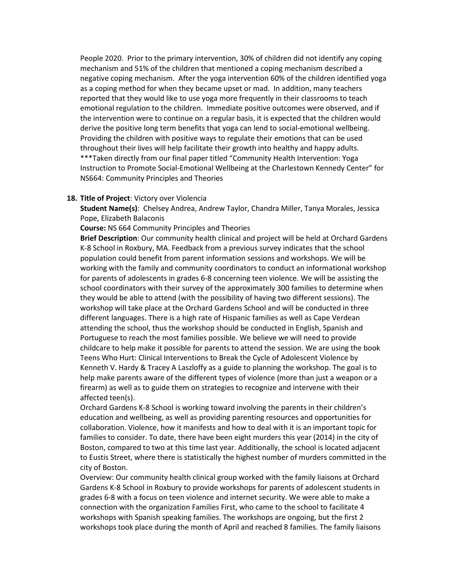People 2020. Prior to the primary intervention, 30% of children did not identify any coping mechanism and 51% of the children that mentioned a coping mechanism described a negative coping mechanism. After the yoga intervention 60% of the children identified yoga as a coping method for when they became upset or mad. In addition, many teachers reported that they would like to use yoga more frequently in their classrooms to teach emotional regulation to the children. Immediate positive outcomes were observed, and if the intervention were to continue on a regular basis, it is expected that the children would derive the positive long term benefits that yoga can lend to social-emotional wellbeing. Providing the children with positive ways to regulate their emotions that can be used throughout their lives will help facilitate their growth into healthy and happy adults. \*\*\*Taken directly from our final paper titled "Community Health Intervention: Yoga Instruction to Promote Social-Emotional Wellbeing at the Charlestown Kennedy Center" for NS664: Community Principles and Theories

### **18. Title of Project**: Victory over Violencia

**Student Name(s)**: Chelsey Andrea, Andrew Taylor, Chandra Miller, Tanya Morales, Jessica Pope, Elizabeth Balaconis

**Course:** NS 664 Community Principles and Theories

**Brief Description**: Our community health clinical and project will be held at Orchard Gardens K-8 School in Roxbury, MA. Feedback from a previous survey indicates that the school population could benefit from parent information sessions and workshops. We will be working with the family and community coordinators to conduct an informational workshop for parents of adolescents in grades 6-8 concerning teen violence. We will be assisting the school coordinators with their survey of the approximately 300 families to determine when they would be able to attend (with the possibility of having two different sessions). The workshop will take place at the Orchard Gardens School and will be conducted in three different languages. There is a high rate of Hispanic families as well as Cape Verdean attending the school, thus the workshop should be conducted in English, Spanish and Portuguese to reach the most families possible. We believe we will need to provide childcare to help make it possible for parents to attend the session. We are using the book Teens Who Hurt: Clinical Interventions to Break the Cycle of Adolescent Violence by Kenneth V. Hardy & Tracey A Laszloffy as a guide to planning the workshop. The goal is to help make parents aware of the different types of violence (more than just a weapon or a firearm) as well as to guide them on strategies to recognize and intervene with their affected teen(s).

Orchard Gardens K-8 School is working toward involving the parents in their children's education and wellbeing, as well as providing parenting resources and opportunities for collaboration. Violence, how it manifests and how to deal with it is an important topic for families to consider. To date, there have been eight murders this year (2014) in the city of Boston, compared to two at this time last year. Additionally, the school is located adjacent to Eustis Street, where there is statistically the highest number of murders committed in the city of Boston.

Overview: Our community health clinical group worked with the family liaisons at Orchard Gardens K-8 School in Roxbury to provide workshops for parents of adolescent students in grades 6-8 with a focus on teen violence and internet security. We were able to make a connection with the organization Families First, who came to the school to facilitate 4 workshops with Spanish speaking families. The workshops are ongoing, but the first 2 workshops took place during the month of April and reached 8 families. The family liaisons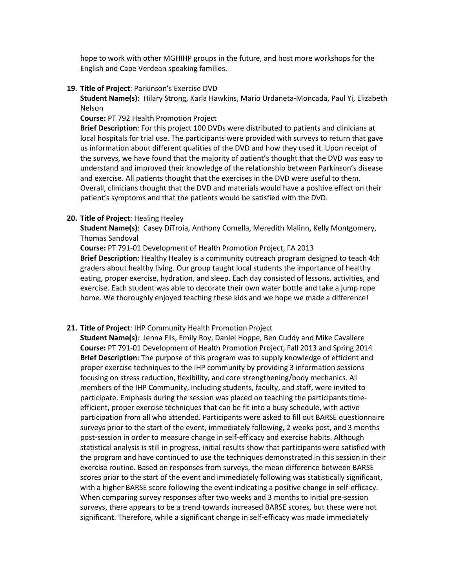hope to work with other MGHIHP groups in the future, and host more workshops for the English and Cape Verdean speaking families.

**19. Title of Project**: Parkinson's Exercise DVD

**Student Name(s)**: Hilary Strong, Karla Hawkins, Mario Urdaneta-Moncada, Paul Yi, Elizabeth Nelson

**Course:** PT 792 Health Promotion Project

**Brief Description**: For this project 100 DVDs were distributed to patients and clinicians at local hospitals for trial use. The participants were provided with surveys to return that gave us information about different qualities of the DVD and how they used it. Upon receipt of the surveys, we have found that the majority of patient's thought that the DVD was easy to understand and improved their knowledge of the relationship between Parkinson's disease and exercise. All patients thought that the exercises in the DVD were useful to them. Overall, clinicians thought that the DVD and materials would have a positive effect on their patient's symptoms and that the patients would be satisfied with the DVD.

#### **20. Title of Project**: Healing Healey

**Student Name(s)**: Casey DiTroia, Anthony Comella, Meredith Malinn, Kelly Montgomery, Thomas Sandoval

**Course:** PT 791-01 Development of Health Promotion Project, FA 2013 **Brief Description**: Healthy Healey is a community outreach program designed to teach 4th graders about healthy living. Our group taught local students the importance of healthy eating, proper exercise, hydration, and sleep. Each day consisted of lessons, activities, and exercise. Each student was able to decorate their own water bottle and take a jump rope home. We thoroughly enjoyed teaching these kids and we hope we made a difference!

#### **21. Title of Project**: IHP Community Health Promotion Project

**Student Name(s)**: Jenna Flis, Emily Roy, Daniel Hoppe, Ben Cuddy and Mike Cavaliere **Course:** PT 791-01 Development of Health Promotion Project, Fall 2013 and Spring 2014 **Brief Description**: The purpose of this program was to supply knowledge of efficient and proper exercise techniques to the IHP community by providing 3 information sessions focusing on stress reduction, flexibility, and core strengthening/body mechanics. All members of the IHP Community, including students, faculty, and staff, were invited to participate. Emphasis during the session was placed on teaching the participants timeefficient, proper exercise techniques that can be fit into a busy schedule, with active participation from all who attended. Participants were asked to fill out BARSE questionnaire surveys prior to the start of the event, immediately following, 2 weeks post, and 3 months post-session in order to measure change in self-efficacy and exercise habits. Although statistical analysis is still in progress, initial results show that participants were satisfied with the program and have continued to use the techniques demonstrated in this session in their exercise routine. Based on responses from surveys, the mean difference between BARSE scores prior to the start of the event and immediately following was statistically significant, with a higher BARSE score following the event indicating a positive change in self-efficacy. When comparing survey responses after two weeks and 3 months to initial pre-session surveys, there appears to be a trend towards increased BARSE scores, but these were not significant. Therefore, while a significant change in self-efficacy was made immediately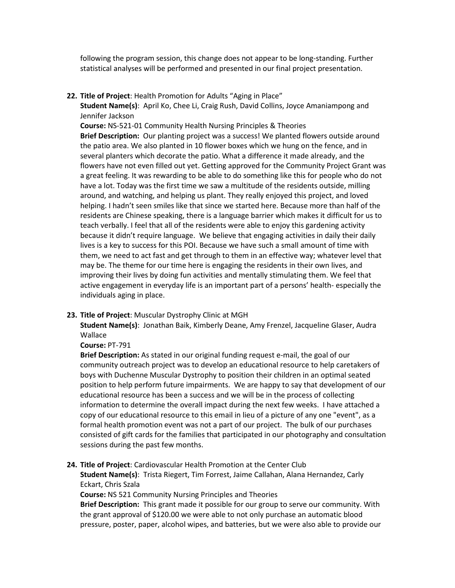following the program session, this change does not appear to be long-standing. Further statistical analyses will be performed and presented in our final project presentation.

**22. Title of Project**: Health Promotion for Adults "Aging in Place"

**Student Name(s)**: April Ko, Chee Li, Craig Rush, David Collins, Joyce Amaniampong and Jennifer Jackson

**Course:** NS-521-01 Community Health Nursing Principles & Theories **Brief Description:** Our planting project was a success! We planted flowers outside around the patio area. We also planted in 10 flower boxes which we hung on the fence, and in several planters which decorate the patio. What a difference it made already, and the flowers have not even filled out yet. Getting approved for the Community Project Grant was a great feeling. It was rewarding to be able to do something like this for people who do not have a lot. Today was the first time we saw a multitude of the residents outside, milling around, and watching, and helping us plant. They really enjoyed this project, and loved helping. I hadn't seen smiles like that since we started here. Because more than half of the residents are Chinese speaking, there is a language barrier which makes it difficult for us to teach verbally. I feel that all of the residents were able to enjoy this gardening activity because it didn't require language. We believe that engaging activities in daily their daily lives is a key to success for this POI. Because we have such a small amount of time with them, we need to act fast and get through to them in an effective way; whatever level that may be. The theme for our time here is engaging the residents in their own lives, and improving their lives by doing fun activities and mentally stimulating them. We feel that active engagement in everyday life is an important part of a persons' health- especially the individuals aging in place.

# **23. Title of Project**: Muscular Dystrophy Clinic at MGH

**Student Name(s)**: Jonathan Baik, Kimberly Deane, Amy Frenzel, Jacqueline Glaser, Audra Wallace

### **Course:** PT-791

**Brief Description:** As stated in our original funding request e-mail, the goal of our community outreach project was to develop an educational resource to help caretakers of boys with Duchenne Muscular Dystrophy to position their children in an optimal seated position to help perform future impairments. We are happy to say that development of our educational resource has been a success and we will be in the process of collecting information to determine the overall impact during the next few weeks. I have attached a copy of our educational resource to this email in lieu of a picture of any one "event", as a formal health promotion event was not a part of our project. The bulk of our purchases consisted of gift cards for the families that participated in our photography and consultation sessions during the past few months.

# **24. Title of Project**: Cardiovascular Health Promotion at the Center Club

**Student Name(s)**: Trista Riegert, Tim Forrest, Jaime Callahan, Alana Hernandez, Carly Eckart, Chris Szala

**Course:** NS 521 Community Nursing Principles and Theories

**Brief Description:** This grant made it possible for our group to serve our community. With the grant approval of \$120.00 we were able to not only purchase an automatic blood pressure, poster, paper, alcohol wipes, and batteries, but we were also able to provide our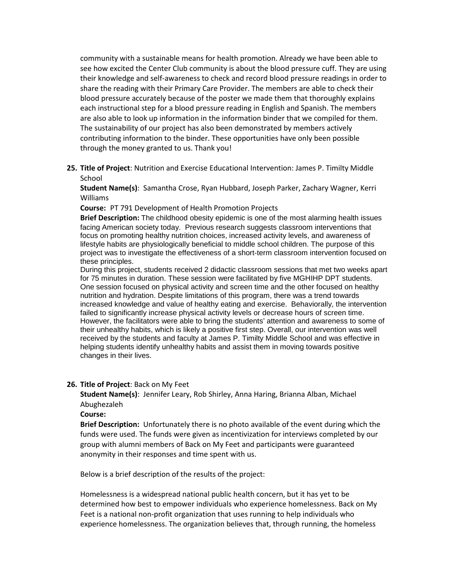community with a sustainable means for health promotion. Already we have been able to see how excited the Center Club community is about the blood pressure cuff. They are using their knowledge and self-awareness to check and record blood pressure readings in order to share the reading with their Primary Care Provider. The members are able to check their blood pressure accurately because of the poster we made them that thoroughly explains each instructional step for a blood pressure reading in English and Spanish. The members are also able to look up information in the information binder that we compiled for them. The sustainability of our project has also been demonstrated by members actively contributing information to the binder. These opportunities have only been possible through the money granted to us. Thank you!

**25. Title of Project**: Nutrition and Exercise Educational Intervention: James P. Timilty Middle School

**Student Name(s)**: Samantha Crose, Ryan Hubbard, Joseph Parker, Zachary Wagner, Kerri Williams

**Course:** PT 791 Development of Health Promotion Projects

**Brief Description:** The childhood obesity epidemic is one of the most alarming health issues facing American society today. Previous research suggests classroom interventions that focus on promoting healthy nutrition choices, increased activity levels, and awareness of lifestyle habits are physiologically beneficial to middle school children. The purpose of this project was to investigate the effectiveness of a short-term classroom intervention focused on these principles.

During this project, students received 2 didactic classroom sessions that met two weeks apart for 75 minutes in duration. These session were facilitated by five MGHIHP DPT students. One session focused on physical activity and screen time and the other focused on healthy nutrition and hydration. Despite limitations of this program, there was a trend towards increased knowledge and value of healthy eating and exercise. Behaviorally, the intervention failed to significantly increase physical activity levels or decrease hours of screen time. However, the facilitators were able to bring the students' attention and awareness to some of their unhealthy habits, which is likely a positive first step. Overall, our intervention was well received by the students and faculty at James P. Timilty Middle School and was effective in helping students identify unhealthy habits and assist them in moving towards positive changes in their lives.

### **26. Title of Project**: Back on My Feet

**Student Name(s)**: Jennifer Leary, Rob Shirley, Anna Haring, Brianna Alban, Michael Abughezaleh

### **Course:**

**Brief Description:** Unfortunately there is no photo available of the event during which the funds were used. The funds were given as incentivization for interviews completed by our group with alumni members of Back on My Feet and participants were guaranteed anonymity in their responses and time spent with us.

Below is a brief description of the results of the project:

Homelessness is a widespread national public health concern, but it has yet to be determined how best to empower individuals who experience homelessness. Back on My Feet is a national non-profit organization that uses running to help individuals who experience homelessness. The organization believes that, through running, the homeless